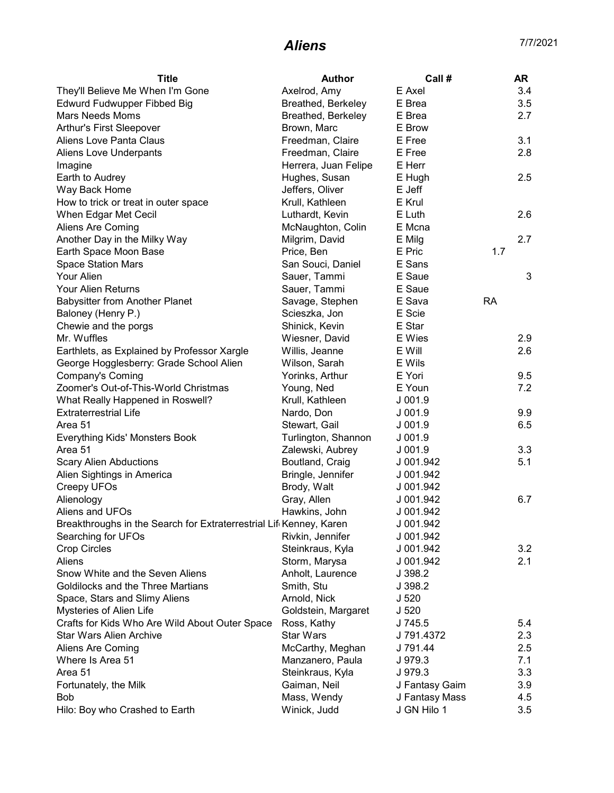## **Aliens** 7/7/2021

| <b>Title</b>                                                                    | <b>Author</b>        | Call #         | <b>AR</b> |
|---------------------------------------------------------------------------------|----------------------|----------------|-----------|
| They'll Believe Me When I'm Gone                                                | Axelrod, Amy         | E Axel         | 3.4       |
| Edwurd Fudwupper Fibbed Big                                                     | Breathed, Berkeley   | E Brea         | 3.5       |
| <b>Mars Needs Moms</b>                                                          | Breathed, Berkeley   | E Brea         | 2.7       |
| <b>Arthur's First Sleepover</b>                                                 | Brown, Marc          | E Brow         |           |
| Aliens Love Panta Claus                                                         | Freedman, Claire     | E Free         | 3.1       |
| Aliens Love Underpants                                                          | Freedman, Claire     | E Free         | 2.8       |
| Imagine                                                                         | Herrera, Juan Felipe | E Herr         |           |
| Earth to Audrey                                                                 | Hughes, Susan        | E Hugh         | 2.5       |
| Way Back Home                                                                   | Jeffers, Oliver      | E Jeff         |           |
| How to trick or treat in outer space                                            | Krull, Kathleen      | E Krul         |           |
| When Edgar Met Cecil                                                            | Luthardt, Kevin      | E Luth         | 2.6       |
| Aliens Are Coming                                                               | McNaughton, Colin    | E Mcna         |           |
| Another Day in the Milky Way                                                    | Milgrim, David       | E Milg         | 2.7       |
| Earth Space Moon Base                                                           | Price, Ben           | E Pric         | 1.7       |
| <b>Space Station Mars</b>                                                       | San Souci, Daniel    | E Sans         |           |
| Your Alien                                                                      | Sauer, Tammi         | E Saue         | 3         |
| Your Alien Returns                                                              | Sauer, Tammi         | E Saue         |           |
| <b>Babysitter from Another Planet</b>                                           | Savage, Stephen      | E Sava         | <b>RA</b> |
| Baloney (Henry P.)                                                              | Scieszka, Jon        | E Scie         |           |
| Chewie and the porgs                                                            | Shinick, Kevin       | E Star         |           |
| Mr. Wuffles                                                                     | Wiesner, David       | E Wies         | 2.9       |
| Earthlets, as Explained by Professor Xargle                                     | Willis, Jeanne       | E Will         | 2.6       |
| George Hogglesberry: Grade School Alien                                         | Wilson, Sarah        | E Wils         |           |
| Company's Coming                                                                | Yorinks, Arthur      | E Yori         | 9.5       |
| Zoomer's Out-of-This-World Christmas                                            | Young, Ned           | E Youn         | 7.2       |
| What Really Happened in Roswell?                                                | Krull, Kathleen      | $J$ 001.9      |           |
| <b>Extraterrestrial Life</b>                                                    | Nardo, Don           | $J$ 001.9      | 9.9       |
| Area 51                                                                         | Stewart, Gail        | $J$ 001.9      | 6.5       |
| Everything Kids' Monsters Book                                                  | Turlington, Shannon  | $J$ 001.9      |           |
| Area 51                                                                         | Zalewski, Aubrey     | $J$ 001.9      | 3.3       |
| <b>Scary Alien Abductions</b>                                                   | Boutland, Craig      | J 001.942      | 5.1       |
| Alien Sightings in America                                                      | Bringle, Jennifer    | J 001.942      |           |
| Creepy UFOs                                                                     | Brody, Walt          | J 001.942      |           |
| Alienology                                                                      | Gray, Allen          | J 001.942      | 6.7       |
| Aliens and UFOs                                                                 | Hawkins, John        | J 001.942      |           |
| Breakthroughs in the Search for Extraterrestrial Lif <sub>'</sub> Kenney, Karen |                      | J 001.942      |           |
| Searching for UFOs                                                              | Rivkin, Jennifer     | J 001.942      |           |
| <b>Crop Circles</b>                                                             | Steinkraus, Kyla     | J 001.942      | 3.2       |
| Aliens                                                                          | Storm, Marysa        | J 001.942      | 2.1       |
| Snow White and the Seven Aliens                                                 | Anholt, Laurence     | J 398.2        |           |
| Goldilocks and the Three Martians                                               | Smith, Stu           | J 398.2        |           |
| Space, Stars and Slimy Aliens                                                   | Arnold, Nick         | J 520          |           |
| Mysteries of Alien Life                                                         | Goldstein, Margaret  | J 520          |           |
| Crafts for Kids Who Are Wild About Outer Space                                  | Ross, Kathy          | J 745.5        | 5.4       |
| <b>Star Wars Alien Archive</b>                                                  | <b>Star Wars</b>     | J 791.4372     | 2.3       |
| Aliens Are Coming                                                               | McCarthy, Meghan     | J 791.44       | 2.5       |
| Where Is Area 51                                                                | Manzanero, Paula     | J 979.3        | 7.1       |
| Area 51                                                                         | Steinkraus, Kyla     | J 979.3        | 3.3       |
| Fortunately, the Milk                                                           | Gaiman, Neil         | J Fantasy Gaim | 3.9       |
| Bob                                                                             | Mass, Wendy          | J Fantasy Mass | 4.5       |
| Hilo: Boy who Crashed to Earth                                                  | Winick, Judd         | J GN Hilo 1    | 3.5       |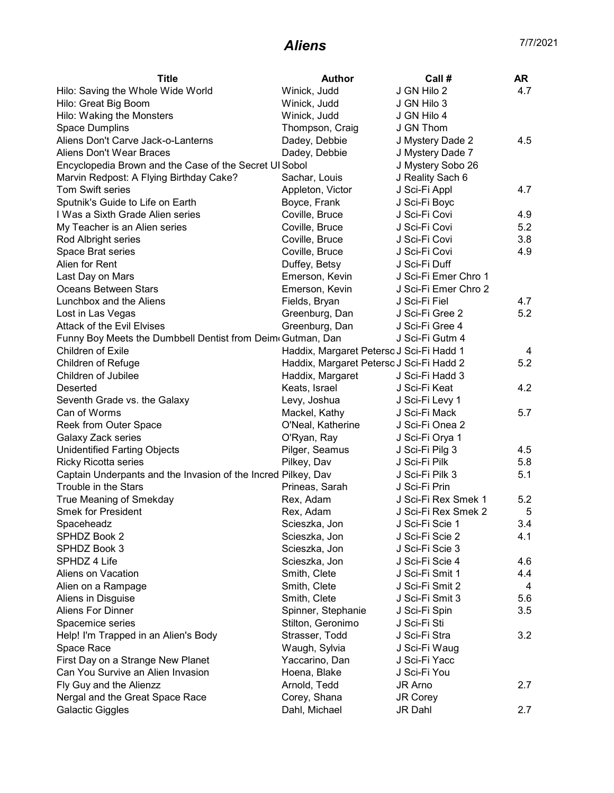## **Aliens** 7/7/2021

| <b>Title</b>                                                  | Author                                   | Call #               | AR  |
|---------------------------------------------------------------|------------------------------------------|----------------------|-----|
| Hilo: Saving the Whole Wide World                             | Winick, Judd                             | J GN Hilo 2          | 4.7 |
| Hilo: Great Big Boom                                          | Winick, Judd                             | J GN Hilo 3          |     |
| Hilo: Waking the Monsters                                     | Winick, Judd                             | J GN Hilo 4          |     |
| Space Dumplins                                                | Thompson, Craig                          | J GN Thom            |     |
| Aliens Don't Carve Jack-o-Lanterns                            | Dadey, Debbie                            | J Mystery Dade 2     | 4.5 |
| Aliens Don't Wear Braces                                      | Dadey, Debbie                            | J Mystery Dade 7     |     |
| Encyclopedia Brown and the Case of the Secret UI Sobol        |                                          | J Mystery Sobo 26    |     |
| Marvin Redpost: A Flying Birthday Cake?                       | Sachar, Louis                            | J Reality Sach 6     |     |
| Tom Swift series                                              | Appleton, Victor                         | J Sci-Fi Appl        | 4.7 |
| Sputnik's Guide to Life on Earth                              | Boyce, Frank                             | J Sci-Fi Boyc        |     |
| I Was a Sixth Grade Alien series                              | Coville, Bruce                           | J Sci-Fi Covi        | 4.9 |
| My Teacher is an Alien series                                 | Coville, Bruce                           | J Sci-Fi Covi        | 5.2 |
| Rod Albright series                                           | Coville, Bruce                           | J Sci-Fi Covi        | 3.8 |
| Space Brat series                                             | Coville, Bruce                           | J Sci-Fi Covi        | 4.9 |
| Alien for Rent                                                | Duffey, Betsy                            | J Sci-Fi Duff        |     |
| Last Day on Mars                                              | Emerson, Kevin                           | J Sci-Fi Emer Chro 1 |     |
| Oceans Between Stars                                          | Emerson, Kevin                           | J Sci-Fi Emer Chro 2 |     |
| Lunchbox and the Aliens                                       | Fields, Bryan                            | J Sci-Fi Fiel        | 4.7 |
| Lost in Las Vegas                                             | Greenburg, Dan                           | J Sci-Fi Gree 2      | 5.2 |
| <b>Attack of the Evil Elvises</b>                             | Greenburg, Dan                           | J Sci-Fi Gree 4      |     |
| Funny Boy Meets the Dumbbell Dentist from Deim Gutman, Dan    |                                          | J Sci-Fi Gutm 4      |     |
| Children of Exile                                             | Haddix, Margaret Peterso J Sci-Fi Hadd 1 |                      | 4   |
| <b>Children of Refuge</b>                                     | Haddix, Margaret Peterso J Sci-Fi Hadd 2 |                      | 5.2 |
| Children of Jubilee                                           | Haddix, Margaret                         | J Sci-Fi Hadd 3      |     |
| Deserted                                                      | Keats, Israel                            | J Sci-Fi Keat        | 4.2 |
| Seventh Grade vs. the Galaxy                                  | Levy, Joshua                             | J Sci-Fi Levy 1      |     |
| Can of Worms                                                  | Mackel, Kathy                            | J Sci-Fi Mack        | 5.7 |
| Reek from Outer Space                                         | O'Neal, Katherine                        | J Sci-Fi Onea 2      |     |
| Galaxy Zack series                                            | O'Ryan, Ray                              | J Sci-Fi Orya 1      |     |
| <b>Unidentified Farting Objects</b>                           | Pilger, Seamus                           | J Sci-Fi Pilg 3      | 4.5 |
| <b>Ricky Ricotta series</b>                                   | Pilkey, Dav                              | J Sci-Fi Pilk        | 5.8 |
| Captain Underpants and the Invasion of the Incred Pilkey, Dav |                                          | J Sci-Fi Pilk 3      | 5.1 |
| Trouble in the Stars                                          | Prineas, Sarah                           | J Sci-Fi Prin        |     |
| True Meaning of Smekday                                       | Rex, Adam                                | J Sci-Fi Rex Smek 1  | 5.2 |
| <b>Smek for President</b>                                     | Rex, Adam                                | J Sci-Fi Rex Smek 2  | 5   |
| Spaceheadz                                                    | Scieszka, Jon                            | J Sci-Fi Scie 1      | 3.4 |
| SPHDZ Book 2                                                  | Scieszka, Jon                            | J Sci-Fi Scie 2      | 4.1 |
| SPHDZ Book 3                                                  | Scieszka, Jon                            | J Sci-Fi Scie 3      |     |
| SPHDZ 4 Life                                                  | Scieszka, Jon                            | J Sci-Fi Scie 4      | 4.6 |
|                                                               |                                          | J Sci-Fi Smit 1      |     |
| Aliens on Vacation                                            | Smith, Clete                             | J Sci-Fi Smit 2      | 4.4 |
| Alien on a Rampage                                            | Smith, Clete                             |                      | 4   |
| Aliens in Disguise                                            | Smith, Clete                             | J Sci-Fi Smit 3      | 5.6 |
| Aliens For Dinner                                             | Spinner, Stephanie                       | J Sci-Fi Spin        | 3.5 |
| Spacemice series                                              | Stilton, Geronimo                        | J Sci-Fi Sti         |     |
| Help! I'm Trapped in an Alien's Body                          | Strasser, Todd                           | J Sci-Fi Stra        | 3.2 |
| Space Race                                                    | Waugh, Sylvia                            | J Sci-Fi Waug        |     |
| First Day on a Strange New Planet                             | Yaccarino, Dan                           | J Sci-Fi Yacc        |     |
| Can You Survive an Alien Invasion                             | Hoena, Blake                             | J Sci-Fi You         |     |
| Fly Guy and the Alienzz                                       | Arnold, Tedd                             | JR Arno              | 2.7 |
| Nergal and the Great Space Race                               | Corey, Shana                             | JR Corey             |     |
| <b>Galactic Giggles</b>                                       | Dahl, Michael                            | JR Dahl              | 2.7 |